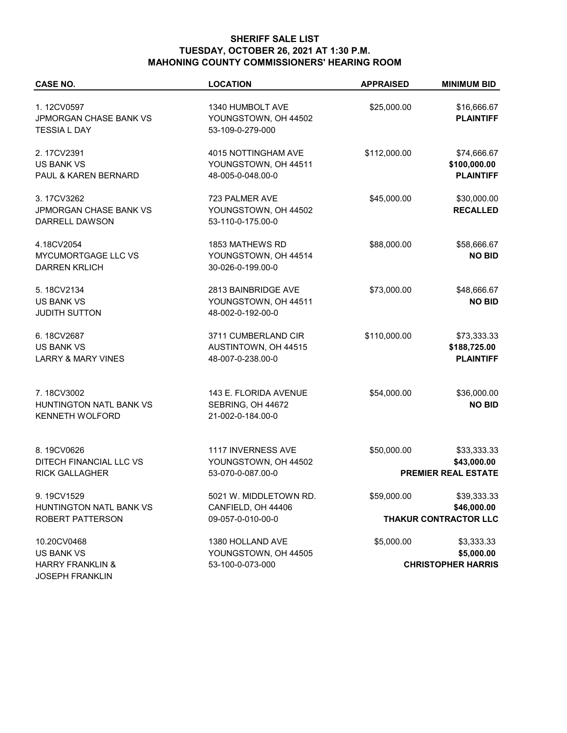## **SHERIFF SALE LIST TUESDAY, OCTOBER 26, 2021 AT 1:30 P.M. MAHONING COUNTY COMMISSIONERS' HEARING ROOM**

| <b>CASE NO.</b>                                                                           | <b>LOCATION</b>                                                   | <b>APPRAISED</b> | <b>MINIMUM BID</b>                                         |
|-------------------------------------------------------------------------------------------|-------------------------------------------------------------------|------------------|------------------------------------------------------------|
| 1.12CV0597<br>JPMORGAN CHASE BANK VS<br><b>TESSIA L DAY</b>                               | 1340 HUMBOLT AVE<br>YOUNGSTOWN, OH 44502<br>53-109-0-279-000      | \$25,000.00      | \$16,666.67<br><b>PLAINTIFF</b>                            |
| 2.17CV2391<br>US BANK VS<br>PAUL & KAREN BERNARD                                          | 4015 NOTTINGHAM AVE<br>YOUNGSTOWN, OH 44511<br>48-005-0-048.00-0  | \$112,000.00     | \$74,666.67<br>\$100,000.00<br><b>PLAINTIFF</b>            |
| 3.17CV3262<br>JPMORGAN CHASE BANK VS<br>DARRELL DAWSON                                    | 723 PALMER AVE<br>YOUNGSTOWN, OH 44502<br>53-110-0-175.00-0       | \$45,000.00      | \$30,000.00<br><b>RECALLED</b>                             |
| 4.18CV2054<br>MYCUMORTGAGE LLC VS<br><b>DARREN KRLICH</b>                                 | 1853 MATHEWS RD<br>YOUNGSTOWN, OH 44514<br>30-026-0-199.00-0      | \$88,000.00      | \$58,666.67<br><b>NO BID</b>                               |
| 5.18CV2134<br><b>US BANK VS</b><br><b>JUDITH SUTTON</b>                                   | 2813 BAINBRIDGE AVE<br>YOUNGSTOWN, OH 44511<br>48-002-0-192-00-0  | \$73,000.00      | \$48,666.67<br><b>NO BID</b>                               |
| 6.18CV2687<br><b>US BANK VS</b><br><b>LARRY &amp; MARY VINES</b>                          | 3711 CUMBERLAND CIR<br>AUSTINTOWN, OH 44515<br>48-007-0-238.00-0  | \$110,000.00     | \$73,333.33<br>\$188,725.00<br><b>PLAINTIFF</b>            |
| 7.18CV3002<br>HUNTINGTON NATL BANK VS<br><b>KENNETH WOLFORD</b>                           | 143 E. FLORIDA AVENUE<br>SEBRING, OH 44672<br>21-002-0-184.00-0   | \$54,000.00      | \$36,000.00<br><b>NO BID</b>                               |
| 8.19CV0626<br>DITECH FINANCIAL LLC VS<br><b>RICK GALLAGHER</b>                            | 1117 INVERNESS AVE<br>YOUNGSTOWN, OH 44502<br>53-070-0-087.00-0   | \$50,000.00      | \$33,333.33<br>\$43,000.00<br><b>PREMIER REAL ESTATE</b>   |
| 9.19CV1529<br>HUNTINGTON NATL BANK VS<br>ROBERT PATTERSON                                 | 5021 W. MIDDLETOWN RD.<br>CANFIELD, OH 44406<br>09-057-0-010-00-0 | \$59,000.00      | \$39,333.33<br>\$46,000.00<br><b>THAKUR CONTRACTOR LLC</b> |
| 10.20CV0468<br><b>US BANK VS</b><br><b>HARRY FRANKLIN &amp;</b><br><b>JOSEPH FRANKLIN</b> | 1380 HOLLAND AVE<br>YOUNGSTOWN, OH 44505<br>53-100-0-073-000      | \$5,000.00       | \$3,333.33<br>\$5,000.00<br><b>CHRISTOPHER HARRIS</b>      |